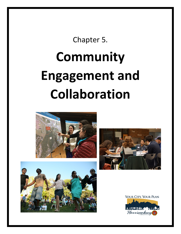Chapter 5.

# **Community Engagement and Collaboration**







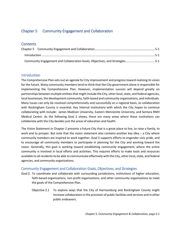# <span id="page-1-0"></span>Chapter 5 Community Engagement and Collaboration

## **Contents**

| $Introduction 1, 5-1$                                                       |  |
|-----------------------------------------------------------------------------|--|
| Community Engagement and Collaboration Goals, Objectives, and Strategies5-1 |  |

#### <span id="page-1-1"></span>**Introduction**

The Comprehensive Plan sets out an agenda for City improvement and progress toward realizing its vision for the future. Many community members tend to think that the City government alone is responsible for implementing the Comprehensive Plan. However, implementation success will depend greatly on partnerships between multiple entities that might include the City, other local, state, and federal agencies, local businesses, the development community, faith-based and community organizations, and individuals. Many issues can only be resolved comprehensively and successfully on a regional basis, so collaboration with Rockingham County is essential. Key internal institutions with which the City hopes to continue collaborating with include: James Madison University, Eastern Mennonite University, and Sentara RMH Medical Center. As the following Goal 2 shows, there are many areas where these institutions can collaborate with the City besides just the areas of education and health.

The Vision Statement in Chapter 2 presents a future City that is a great place to live, to raise a family, to work and to prosper. But note that the vision statement also contains another key idea – a City where community members are inspired to work together. Goal 3 supports efforts to engender civic pride, and to encourage all community members to participate in planning for the City and working toward the vision. Generally, this goal is working toward establishing community engagement, where the entire community is involved in local efforts and activities. This requires efforts to make tools and resources available to all residents to be able to communicate effectively with the City, other local, state, and federal agencies, and community organizations.

### <span id="page-1-2"></span>Community Engagement and Collaboration Goals, Objectives, and Strategies

- Goal 2. To coordinate and collaborate with surrounding jurisdictions, institutions of higher education, faith-based organizations, non-profit organizations, and other community organizations to meet the goals of the Comprehensive Plan.
	- Objective 2.1 To explore ways that the City of Harrisonburg and Rockingham County might increase collaboration in the provision of public facilities and services and in other public endeavors.